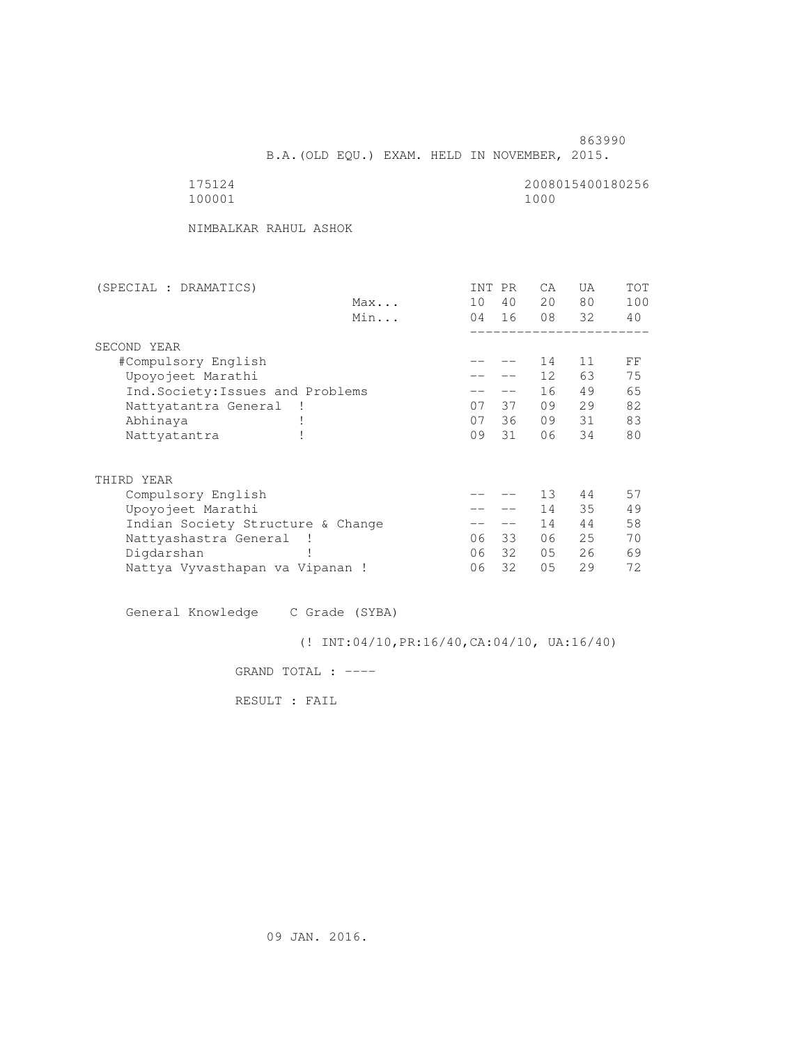|  |  |  | B.A. (OLD EQU.) EXAM. HELD IN NOVEMBER, 2015. |  |
|--|--|--|-----------------------------------------------|--|
|  |  |  |                                               |  |

| 75124  | ZUU8U |
|--------|-------|
| 100001 | 1000  |

## 175124 2008015400180256

863990

NIMBALKAR RAHUL ASHOK

| (SPECIAL : DRAMATICS)             |     | INT | PR    | CA              | UA    | TOT |
|-----------------------------------|-----|-----|-------|-----------------|-------|-----|
|                                   | Max | 10  | 40    | 20              | 80    | 100 |
|                                   | Min | 04  | 16    |                 | 08 32 | 40  |
| SECOND YEAR                       |     |     |       |                 |       |     |
| #Compulsory English               |     |     |       | 14              | 11    | FF  |
| Upoyojeet Marathi                 |     |     |       | 12 <sup>°</sup> | 63    | 75  |
| Ind.Society: Issues and Problems  |     |     | $- -$ | 16              | 49    | 65  |
| Nattyatantra General !            |     | 07  | 37    | 09              | 29    | 82  |
| Abhinaya                          |     | 07  | 36    | 09              | 31    | 83  |
| Nattyatantra                      |     | 09  | 31    | 06              | 34    | 80  |
|                                   |     |     |       |                 |       |     |
| THIRD YEAR                        |     |     |       |                 |       |     |
| Compulsory English                |     |     |       | 13              | 44    | 57  |
| Upoyojeet Marathi                 |     |     |       | 14              | 35    | 49  |
| Indian Society Structure & Change |     |     | $- -$ | 14              | 44    | 58  |
| Nattyashastra General             |     | 06  | 33    | 06              | 25    | 70  |
| Digdarshan                        |     | 06  | 32    | 05              | 26    | 69  |
| Nattya Vyvasthapan va Vipanan !   |     | 06  | 32    | 05              | 29    | 72  |
|                                   |     |     |       |                 |       |     |
|                                   |     |     |       |                 |       |     |

General Knowledge C Grade (SYBA)

(! INT:04/10,PR:16/40,CA:04/10, UA:16/40)

GRAND TOTAL : ----

RESULT : FAIL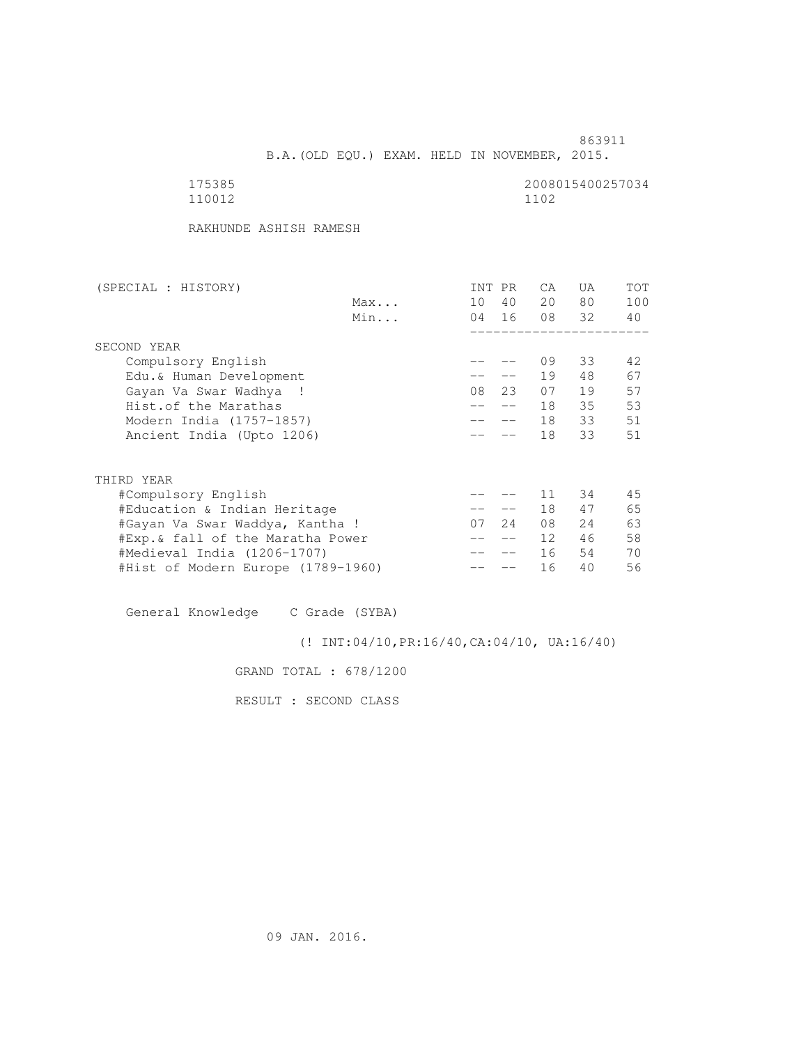B.A.(OLD EQU.) EXAM. HELD IN NOVEMBER, 2015.

110012 1102

175385 2008015400257034

863911

RAKHUNDE ASHISH RAMESH

| (SPECIAL : HISTORY)                | Max<br>Min | INT PR<br>10<br>04 | 40<br>16 | CA.<br>20       | UA<br>80<br>08 32 | <b>TOT</b><br>100<br>40 |
|------------------------------------|------------|--------------------|----------|-----------------|-------------------|-------------------------|
| SECOND YEAR                        |            |                    |          |                 |                   |                         |
| Compulsory English                 |            |                    |          | 09              | 33                | 42.                     |
| Edu. & Human Development           |            |                    |          | 19              | 48                | 67                      |
| Gayan Va Swar Wadhya !             |            | 08                 | 23       | 07              | 19                | 57                      |
| Hist.of the Marathas               |            |                    |          | 18              | 35                | 53                      |
| Modern India (1757-1857)           |            |                    | $-\,-$   | 18              | 33                | 51                      |
| Ancient India (Upto 1206)          |            |                    |          | 18              | 33                | 51                      |
| THIRD YEAR                         |            |                    |          |                 |                   |                         |
| #Compulsory English                |            |                    |          | 11              | 34                | 45                      |
| #Education & Indian Heritage       |            |                    |          | 18              | 47                | 65                      |
| #Gayan Va Swar Waddya, Kantha !    |            | 07                 | 2.4      | 08              | 24                | 63                      |
| #Exp.& fall of the Maratha Power   |            |                    |          | 12 <sup>°</sup> | 46                | 58                      |
| #Medieval India (1206-1707)        |            |                    |          | 16              | 54                | 70                      |
| #Hist of Modern Europe (1789-1960) |            |                    |          | 16              | 40                | 56                      |

General Knowledge C Grade (SYBA)

(! INT:04/10,PR:16/40,CA:04/10, UA:16/40)

GRAND TOTAL : 678/1200

RESULT : SECOND CLASS